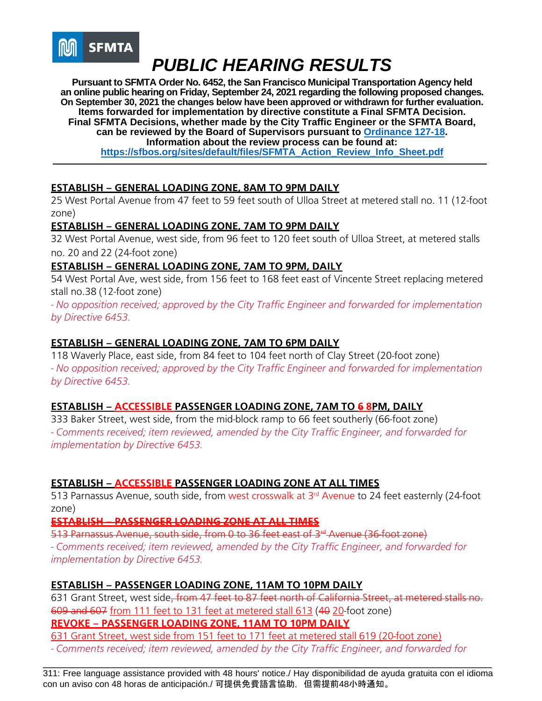

**Pursuant to SFMTA Order No. 6452, the San Francisco Municipal Transportation Agency held an online public hearing on Friday, September 24, 2021 regarding the following proposed changes. On September 30, 2021 the changes below have been approved or withdrawn for further evaluation. Items forwarded for implementation by directive constitute a Final SFMTA Decision. Final SFMTA Decisions, whether made by the City Traffic Engineer or the SFMTA Board, can be reviewed by the Board of Supervisors pursuant to [Ordinance 127-18.](https://sfbos.org/sites/default/files/o0127-18.pdf) Information about the review process can be found at: [https://sfbos.org/sites/default/files/SFMTA\\_Action\\_Review\\_Info\\_Sheet.pdf](https://sfbos.org/sites/default/files/SFMTA_Action_Review_Info_Sheet.pdf)**

## **ESTABLISH – GENERAL LOADING ZONE, 8AM TO 9PM DAILY**

25 West Portal Avenue from 47 feet to 59 feet south of Ulloa Street at metered stall no. 11 (12-foot zone)

## **ESTABLISH – GENERAL LOADING ZONE, 7AM TO 9PM DAILY**

32 West Portal Avenue, west side, from 96 feet to 120 feet south of Ulloa Street, at metered stalls no. 20 and 22 (24-foot zone)

## **ESTABLISH – GENERAL LOADING ZONE, 7AM TO 9PM, DAILY**

54 West Portal Ave, west side, from 156 feet to 168 feet east of Vincente Street replacing metered stall no.38 (12-foot zone)

*- No opposition received; approved by the City Traffic Engineer and forwarded for implementation by Directive 6453.*

## **ESTABLISH – GENERAL LOADING ZONE, 7AM TO 6PM DAILY**

118 Waverly Place, east side, from 84 feet to 104 feet north of Clay Street (20-foot zone) *- No opposition received; approved by the City Traffic Engineer and forwarded for implementation by Directive 6453.*

### **ESTABLISH – ACCESSIBLE PASSENGER LOADING ZONE, 7AM TO 6 8PM, DAILY**

333 Baker Street, west side, from the mid-block ramp to 66 feet southerly (66-foot zone) *- Comments received; item reviewed, amended by the City Traffic Engineer, and forwarded for implementation by Directive 6453.*

### **ESTABLISH – ACCESSIBLE PASSENGER LOADING ZONE AT ALL TIMES**

513 Parnassus Avenue, south side, from west crosswalk at 3<sup>rd</sup> Avenue to 24 feet easternly (24-foot zone)

**ESTABLISH – PASSENGER LOADING ZONE AT ALL TIMES**

513 Parnassus Avenue, south side, from 0 to 36 feet east of 3<sup>rd</sup> Avenue (36 foot zone)

*- Comments received; item reviewed, amended by the City Traffic Engineer, and forwarded for implementation by Directive 6453.*

### **ESTABLISH – PASSENGER LOADING ZONE, 11AM TO 10PM DAILY**

631 Grant Street, west side, from 47 feet to 87 feet north of California Street, at metered stalls no. 609 and 607 from 111 feet to 131 feet at metered stall 613 (40 20-foot zone) **REVOKE – PASSENGER LOADING ZONE, 11AM TO 10PM DAILY**

631 Grant Street, west side from 151 feet to 171 feet at metered stall 619 (20-foot zone)

*- Comments received; item reviewed, amended by the City Traffic Engineer, and forwarded for*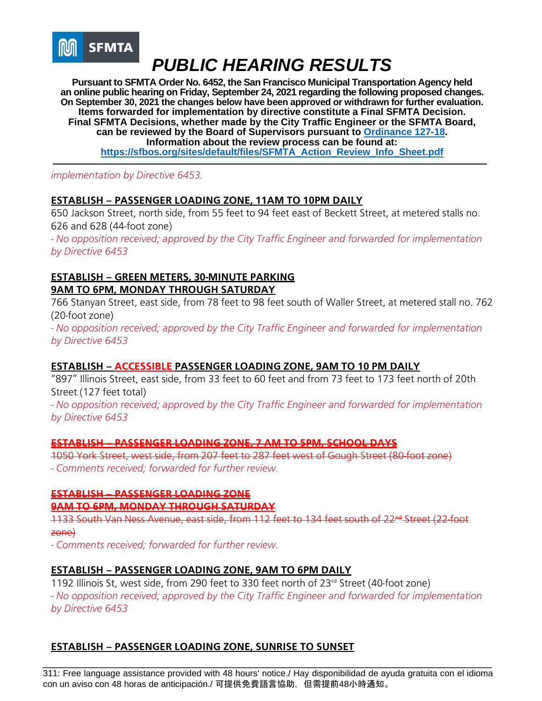

**Pursuant to SFMTA Order No. 6452, the San Francisco Municipal Transportation Agency held an online public hearing on Friday, September 24, 2021 regarding the following proposed changes. On September 30, 2021 the changes below have been approved or withdrawn for further evaluation. Items forwarded for implementation by directive constitute a Final SFMTA Decision. Final SFMTA Decisions, whether made by the City Traffic Engineer or the SFMTA Board, can be reviewed by the Board of Supervisors pursuant to [Ordinance 127-18.](https://sfbos.org/sites/default/files/o0127-18.pdf) Information about the review process can be found at: [https://sfbos.org/sites/default/files/SFMTA\\_Action\\_Review\\_Info\\_Sheet.pdf](https://sfbos.org/sites/default/files/SFMTA_Action_Review_Info_Sheet.pdf)**

*implementation by Directive 6453.*

## **ESTABLISH – PASSENGER LOADING ZONE, 11AM TO 10PM DAILY**

650 Jackson Street, north side, from 55 feet to 94 feet east of Beckett Street, at metered stalls no. 626 and 628 (44-foot zone)

*- No opposition received; approved by the City Traffic Engineer and forwarded for implementation by Directive 6453*

## **ESTABLISH – GREEN METERS, 30-MINUTE PARKING 9AM TO 6PM, MONDAY THROUGH SATURDAY**

766 Stanyan Street, east side, from 78 feet to 98 feet south of Waller Street, at metered stall no. 762 (20-foot zone)

*- No opposition received; approved by the City Traffic Engineer and forwarded for implementation by Directive 6453*

### **ESTABLISH – ACCESSIBLE PASSENGER LOADING ZONE, 9AM TO 10 PM DAILY**

"897" Illinois Street, east side, from 33 feet to 60 feet and from 73 feet to 173 feet north of 20th Street (127 feet total)

*- No opposition received; approved by the City Traffic Engineer and forwarded for implementation by Directive 6453*

### **ESTABLISH – PASSENGER LOADING ZONE, 7 AM TO 5PM, SCHOOL DAYS**

1050 York Street, west side, from 207 feet to 287 feet west of Gough Street (80-foot zone) *- Comments received; forwarded for further review.*

## **ESTABLISH – PASSENGER LOADING ZONE 9AM TO 6PM, MONDAY THROUGH SATURDAY**

1133 South Van Ness Avenue, east side, from 112 feet to 134 feet south of 22<sup>nd</sup> Street (22-foot zone)

*- Comments received; forwarded for further review.*

### **ESTABLISH – PASSENGER LOADING ZONE, 9AM TO 6PM DAILY**

1192 Illinois St, west side, from 290 feet to 330 feet north of 23rd Street (40-foot zone) *- No opposition received; approved by the City Traffic Engineer and forwarded for implementation by Directive 6453*

## **ESTABLISH – PASSENGER LOADING ZONE, SUNRISE TO SUNSET**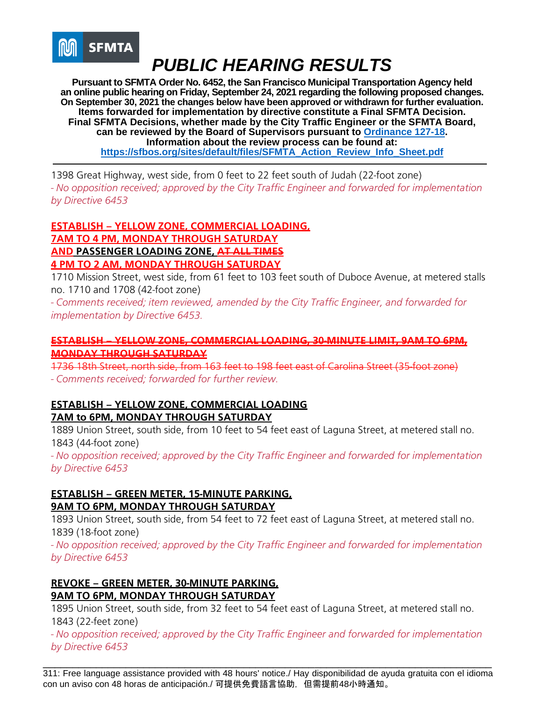

**Pursuant to SFMTA Order No. 6452, the San Francisco Municipal Transportation Agency held an online public hearing on Friday, September 24, 2021 regarding the following proposed changes. On September 30, 2021 the changes below have been approved or withdrawn for further evaluation. Items forwarded for implementation by directive constitute a Final SFMTA Decision. Final SFMTA Decisions, whether made by the City Traffic Engineer or the SFMTA Board, can be reviewed by the Board of Supervisors pursuant to [Ordinance 127-18.](https://sfbos.org/sites/default/files/o0127-18.pdf) Information about the review process can be found at: [https://sfbos.org/sites/default/files/SFMTA\\_Action\\_Review\\_Info\\_Sheet.pdf](https://sfbos.org/sites/default/files/SFMTA_Action_Review_Info_Sheet.pdf)**

1398 Great Highway, west side, from 0 feet to 22 feet south of Judah (22-foot zone) *- No opposition received; approved by the City Traffic Engineer and forwarded for implementation by Directive 6453*

### **ESTABLISH – YELLOW ZONE, COMMERCIAL LOADING, 7AM TO 4 PM, MONDAY THROUGH SATURDAY AND PASSENGER LOADING ZONE, AT ALL TIMES 4 PM TO 2 AM, MONDAY THROUGH SATURDAY**

1710 Mission Street, west side, from 61 feet to 103 feet south of Duboce Avenue, at metered stalls no. 1710 and 1708 (42-foot zone)

*- Comments received; item reviewed, amended by the City Traffic Engineer, and forwarded for implementation by Directive 6453.*

### **ESTABLISH – YELLOW ZONE, COMMERCIAL LOADING, 30-MINUTE LIMIT, 9AM TO 6PM, MONDAY THROUGH SATURDAY**

1736 18th Street, north side, from 163 feet to 198 feet east of Carolina Street (35-foot zone)

*- Comments received; forwarded for further review.*

## **ESTABLISH – YELLOW ZONE, COMMERCIAL LOADING**

## **7AM to 6PM, MONDAY THROUGH SATURDAY**

1889 Union Street, south side, from 10 feet to 54 feet east of Laguna Street, at metered stall no. 1843 (44-foot zone)

*- No opposition received; approved by the City Traffic Engineer and forwarded for implementation by Directive 6453*

## **ESTABLISH – GREEN METER, 15-MINUTE PARKING, 9AM TO 6PM, MONDAY THROUGH SATURDAY**

1893 Union Street, south side, from 54 feet to 72 feet east of Laguna Street, at metered stall no. 1839 (18-foot zone)

*- No opposition received; approved by the City Traffic Engineer and forwarded for implementation by Directive 6453*

## **REVOKE – GREEN METER, 30-MINUTE PARKING, 9AM TO 6PM, MONDAY THROUGH SATURDAY**

1895 Union Street, south side, from 32 feet to 54 feet east of Laguna Street, at metered stall no. 1843 (22-feet zone)

*- No opposition received; approved by the City Traffic Engineer and forwarded for implementation by Directive 6453*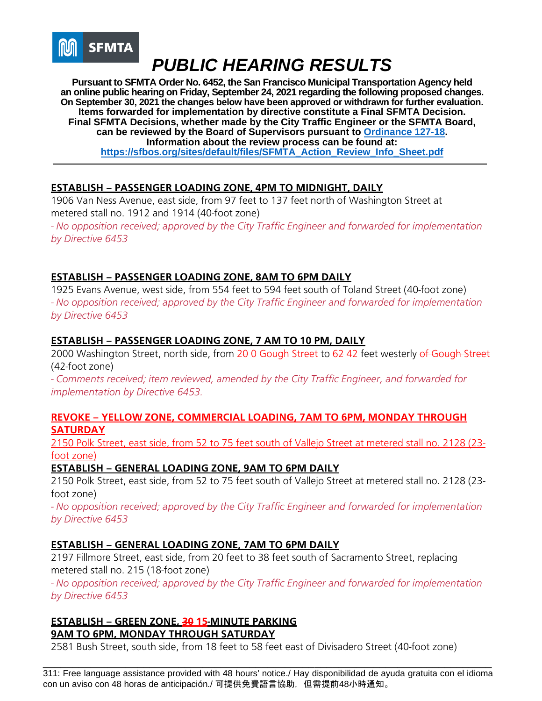

**Pursuant to SFMTA Order No. 6452, the San Francisco Municipal Transportation Agency held an online public hearing on Friday, September 24, 2021 regarding the following proposed changes. On September 30, 2021 the changes below have been approved or withdrawn for further evaluation. Items forwarded for implementation by directive constitute a Final SFMTA Decision. Final SFMTA Decisions, whether made by the City Traffic Engineer or the SFMTA Board, can be reviewed by the Board of Supervisors pursuant to [Ordinance 127-18.](https://sfbos.org/sites/default/files/o0127-18.pdf) Information about the review process can be found at: [https://sfbos.org/sites/default/files/SFMTA\\_Action\\_Review\\_Info\\_Sheet.pdf](https://sfbos.org/sites/default/files/SFMTA_Action_Review_Info_Sheet.pdf)**

## **ESTABLISH – PASSENGER LOADING ZONE, 4PM TO MIDNIGHT, DAILY**

1906 Van Ness Avenue, east side, from 97 feet to 137 feet north of Washington Street at metered stall no. 1912 and 1914 (40-foot zone)

*- No opposition received; approved by the City Traffic Engineer and forwarded for implementation by Directive 6453*

## **ESTABLISH – PASSENGER LOADING ZONE, 8AM TO 6PM DAILY**

1925 Evans Avenue, west side, from 554 feet to 594 feet south of Toland Street (40-foot zone) *- No opposition received; approved by the City Traffic Engineer and forwarded for implementation by Directive 6453*

### **ESTABLISH – PASSENGER LOADING ZONE, 7 AM TO 10 PM, DAILY**

2000 Washington Street, north side, from 20 0 Gough Street to 62 42 feet westerly of Gough Street (42-foot zone)

*- Comments received; item reviewed, amended by the City Traffic Engineer, and forwarded for implementation by Directive 6453.*

### **REVOKE – YELLOW ZONE, COMMERCIAL LOADING, 7AM TO 6PM, MONDAY THROUGH SATURDAY**

2150 Polk Street, east side, from 52 to 75 feet south of Vallejo Street at metered stall no. 2128 (23 foot zone)

### **ESTABLISH – GENERAL LOADING ZONE, 9AM TO 6PM DAILY**

2150 Polk Street, east side, from 52 to 75 feet south of Vallejo Street at metered stall no. 2128 (23 foot zone)

*- No opposition received; approved by the City Traffic Engineer and forwarded for implementation by Directive 6453*

### **ESTABLISH – GENERAL LOADING ZONE, 7AM TO 6PM DAILY**

2197 Fillmore Street, east side, from 20 feet to 38 feet south of Sacramento Street, replacing metered stall no. 215 (18-foot zone)

*- No opposition received; approved by the City Traffic Engineer and forwarded for implementation by Directive 6453*

### **ESTABLISH – GREEN ZONE, 30 15-MINUTE PARKING 9AM TO 6PM, MONDAY THROUGH SATURDAY**

2581 Bush Street, south side, from 18 feet to 58 feet east of Divisadero Street (40-foot zone)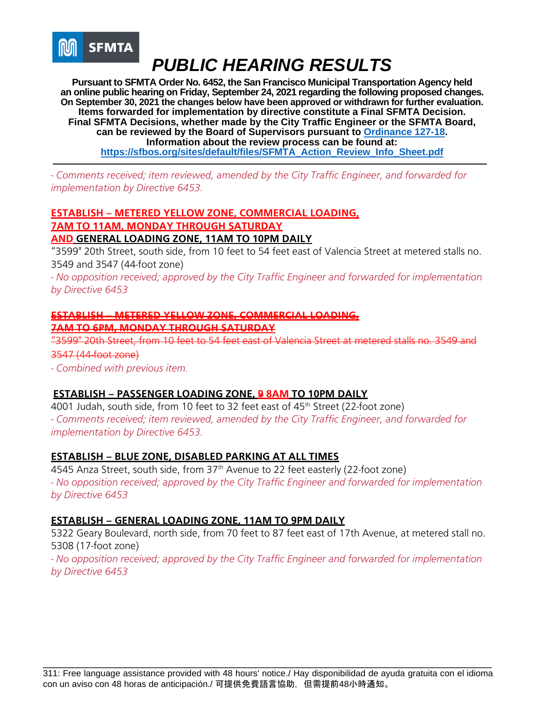

**Pursuant to SFMTA Order No. 6452, the San Francisco Municipal Transportation Agency held an online public hearing on Friday, September 24, 2021 regarding the following proposed changes. On September 30, 2021 the changes below have been approved or withdrawn for further evaluation. Items forwarded for implementation by directive constitute a Final SFMTA Decision. Final SFMTA Decisions, whether made by the City Traffic Engineer or the SFMTA Board, can be reviewed by the Board of Supervisors pursuant to [Ordinance 127-18.](https://sfbos.org/sites/default/files/o0127-18.pdf) Information about the review process can be found at: [https://sfbos.org/sites/default/files/SFMTA\\_Action\\_Review\\_Info\\_Sheet.pdf](https://sfbos.org/sites/default/files/SFMTA_Action_Review_Info_Sheet.pdf)**

*- Comments received; item reviewed, amended by the City Traffic Engineer, and forwarded for implementation by Directive 6453.*

## **ESTABLISH – METERED YELLOW ZONE, COMMERCIAL LOADING, 7AM TO 11AM, MONDAY THROUGH SATURDAY**

### **AND GENERAL LOADING ZONE, 11AM TO 10PM DAILY**

"3599" 20th Street, south side, from 10 feet to 54 feet east of Valencia Street at metered stalls no. 3549 and 3547 (44-foot zone)

*- No opposition received; approved by the City Traffic Engineer and forwarded for implementation by Directive 6453*

#### **ESTABLISH – METERED YELLOW ZONE, COMMERCIAL LOADING,**

#### **7AM TO 6PM, MONDAY THROUGH SATURDAY**

"3599" 20th Street, from 10 feet to 54 feet east of Valencia Street at metered stalls no. 3549 and 3547 (44-foot zone)

*- Combined with previous item.* 

### **ESTABLISH – PASSENGER LOADING ZONE, 9 8AM TO 10PM DAILY**

4001 Judah, south side, from 10 feet to 32 feet east of 45<sup>th</sup> Street (22-foot zone) *- Comments received; item reviewed, amended by the City Traffic Engineer, and forwarded for implementation by Directive 6453.*

### **ESTABLISH – BLUE ZONE, DISABLED PARKING AT ALL TIMES**

4545 Anza Street, south side, from 37<sup>th</sup> Avenue to 22 feet easterly (22-foot zone) *- No opposition received; approved by the City Traffic Engineer and forwarded for implementation by Directive 6453*

### **ESTABLISH – GENERAL LOADING ZONE, 11AM TO 9PM DAILY**

5322 Geary Boulevard, north side, from 70 feet to 87 feet east of 17th Avenue, at metered stall no. 5308 (17-foot zone)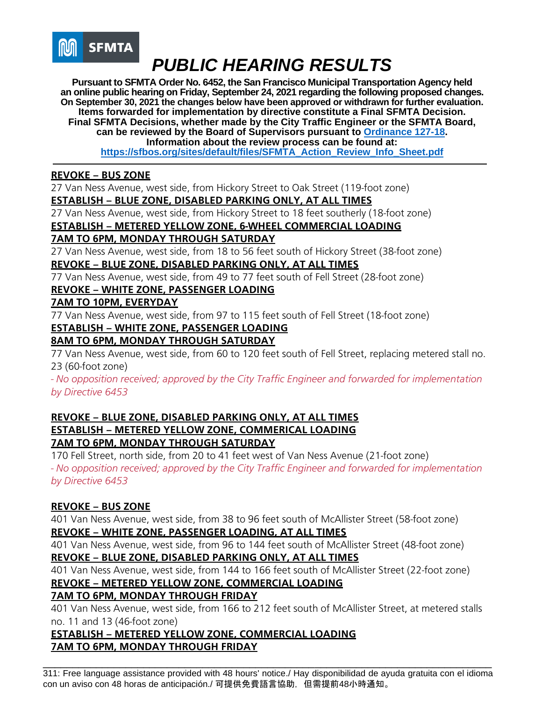

**Pursuant to SFMTA Order No. 6452, the San Francisco Municipal Transportation Agency held an online public hearing on Friday, September 24, 2021 regarding the following proposed changes. On September 30, 2021 the changes below have been approved or withdrawn for further evaluation. Items forwarded for implementation by directive constitute a Final SFMTA Decision. Final SFMTA Decisions, whether made by the City Traffic Engineer or the SFMTA Board, can be reviewed by the Board of Supervisors pursuant to [Ordinance 127-18.](https://sfbos.org/sites/default/files/o0127-18.pdf) Information about the review process can be found at: [https://sfbos.org/sites/default/files/SFMTA\\_Action\\_Review\\_Info\\_Sheet.pdf](https://sfbos.org/sites/default/files/SFMTA_Action_Review_Info_Sheet.pdf)**

#### **REVOKE – BUS ZONE**

27 Van Ness Avenue, west side, from Hickory Street to Oak Street (119-foot zone)

### **ESTABLISH – BLUE ZONE, DISABLED PARKING ONLY, AT ALL TIMES**

27 Van Ness Avenue, west side, from Hickory Street to 18 feet southerly (18-foot zone)

## **ESTABLISH – METERED YELLOW ZONE, 6-WHEEL COMMERCIAL LOADING**

### **7AM TO 6PM, MONDAY THROUGH SATURDAY**

27 Van Ness Avenue, west side, from 18 to 56 feet south of Hickory Street (38-foot zone) **REVOKE – BLUE ZONE, DISABLED PARKING ONLY, AT ALL TIMES**

77 Van Ness Avenue, west side, from 49 to 77 feet south of Fell Street (28-foot zone)

## **REVOKE – WHITE ZONE, PASSENGER LOADING**

#### **7AM TO 10PM, EVERYDAY**

77 Van Ness Avenue, west side, from 97 to 115 feet south of Fell Street (18-foot zone)

## **ESTABLISH – WHITE ZONE, PASSENGER LOADING**

## **8AM TO 6PM, MONDAY THROUGH SATURDAY**

77 Van Ness Avenue, west side, from 60 to 120 feet south of Fell Street, replacing metered stall no. 23 (60-foot zone)

*- No opposition received; approved by the City Traffic Engineer and forwarded for implementation by Directive 6453*

## **REVOKE – BLUE ZONE, DISABLED PARKING ONLY, AT ALL TIMES ESTABLISH – METERED YELLOW ZONE, COMMERICAL LOADING 7AM TO 6PM, MONDAY THROUGH SATURDAY**

170 Fell Street, north side, from 20 to 41 feet west of Van Ness Avenue (21-foot zone) *- No opposition received; approved by the City Traffic Engineer and forwarded for implementation by Directive 6453*

### **REVOKE – BUS ZONE**

401 Van Ness Avenue, west side, from 38 to 96 feet south of McAllister Street (58-foot zone) **REVOKE – WHITE ZONE, PASSENGER LOADING, AT ALL TIMES**

401 Van Ness Avenue, west side, from 96 to 144 feet south of McAllister Street (48-foot zone) **REVOKE – BLUE ZONE, DISABLED PARKING ONLY, AT ALL TIMES**

401 Van Ness Avenue, west side, from 144 to 166 feet south of McAllister Street (22-foot zone)

### **REVOKE – METERED YELLOW ZONE, COMMERCIAL LOADING**

## **7AM TO 6PM, MONDAY THROUGH FRIDAY**

401 Van Ness Avenue, west side, from 166 to 212 feet south of McAllister Street, at metered stalls no. 11 and 13 (46-foot zone)

## **ESTABLISH – METERED YELLOW ZONE, COMMERCIAL LOADING 7AM TO 6PM, MONDAY THROUGH FRIDAY**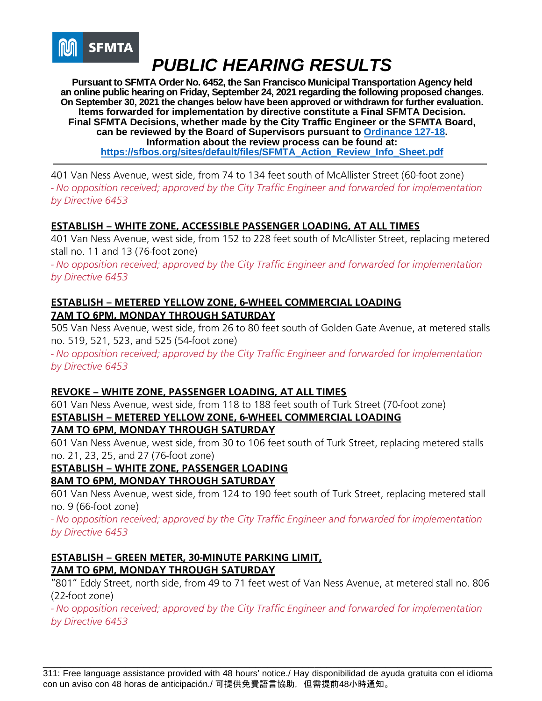

**Pursuant to SFMTA Order No. 6452, the San Francisco Municipal Transportation Agency held an online public hearing on Friday, September 24, 2021 regarding the following proposed changes. On September 30, 2021 the changes below have been approved or withdrawn for further evaluation. Items forwarded for implementation by directive constitute a Final SFMTA Decision. Final SFMTA Decisions, whether made by the City Traffic Engineer or the SFMTA Board, can be reviewed by the Board of Supervisors pursuant to [Ordinance 127-18.](https://sfbos.org/sites/default/files/o0127-18.pdf) Information about the review process can be found at: [https://sfbos.org/sites/default/files/SFMTA\\_Action\\_Review\\_Info\\_Sheet.pdf](https://sfbos.org/sites/default/files/SFMTA_Action_Review_Info_Sheet.pdf)**

401 Van Ness Avenue, west side, from 74 to 134 feet south of McAllister Street (60-foot zone) *- No opposition received; approved by the City Traffic Engineer and forwarded for implementation by Directive 6453*

### **ESTABLISH – WHITE ZONE, ACCESSIBLE PASSENGER LOADING, AT ALL TIMES**

401 Van Ness Avenue, west side, from 152 to 228 feet south of McAllister Street, replacing metered stall no. 11 and 13 (76-foot zone)

*- No opposition received; approved by the City Traffic Engineer and forwarded for implementation by Directive 6453*

### **ESTABLISH – METERED YELLOW ZONE, 6-WHEEL COMMERCIAL LOADING 7AM TO 6PM, MONDAY THROUGH SATURDAY**

505 Van Ness Avenue, west side, from 26 to 80 feet south of Golden Gate Avenue, at metered stalls no. 519, 521, 523, and 525 (54-foot zone)

*- No opposition received; approved by the City Traffic Engineer and forwarded for implementation by Directive 6453*

### **REVOKE – WHITE ZONE, PASSENGER LOADING, AT ALL TIMES**

601 Van Ness Avenue, west side, from 118 to 188 feet south of Turk Street (70-foot zone) **ESTABLISH – METERED YELLOW ZONE, 6-WHEEL COMMERCIAL LOADING 7AM TO 6PM, MONDAY THROUGH SATURDAY**

601 Van Ness Avenue, west side, from 30 to 106 feet south of Turk Street, replacing metered stalls no. 21, 23, 25, and 27 (76-foot zone)

### **ESTABLISH – WHITE ZONE, PASSENGER LOADING**

### **8AM TO 6PM, MONDAY THROUGH SATURDAY**

601 Van Ness Avenue, west side, from 124 to 190 feet south of Turk Street, replacing metered stall no. 9 (66-foot zone)

*- No opposition received; approved by the City Traffic Engineer and forwarded for implementation by Directive 6453*

### **ESTABLISH – GREEN METER, 30-MINUTE PARKING LIMIT, 7AM TO 6PM, MONDAY THROUGH SATURDAY**

"801" Eddy Street, north side, from 49 to 71 feet west of Van Ness Avenue, at metered stall no. 806 (22-foot zone)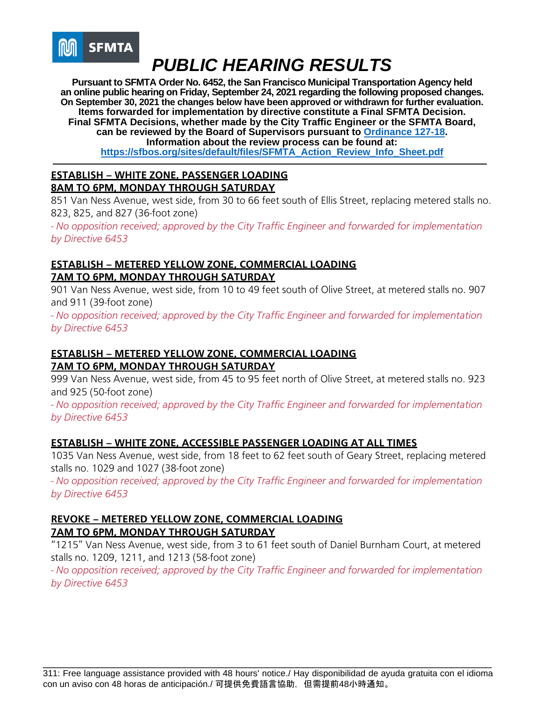

**Pursuant to SFMTA Order No. 6452, the San Francisco Municipal Transportation Agency held an online public hearing on Friday, September 24, 2021 regarding the following proposed changes. On September 30, 2021 the changes below have been approved or withdrawn for further evaluation. Items forwarded for implementation by directive constitute a Final SFMTA Decision. Final SFMTA Decisions, whether made by the City Traffic Engineer or the SFMTA Board, can be reviewed by the Board of Supervisors pursuant to [Ordinance 127-18.](https://sfbos.org/sites/default/files/o0127-18.pdf) Information about the review process can be found at: [https://sfbos.org/sites/default/files/SFMTA\\_Action\\_Review\\_Info\\_Sheet.pdf](https://sfbos.org/sites/default/files/SFMTA_Action_Review_Info_Sheet.pdf)**

#### **ESTABLISH – WHITE ZONE, PASSENGER LOADING 8AM TO 6PM, MONDAY THROUGH SATURDAY**

851 Van Ness Avenue, west side, from 30 to 66 feet south of Ellis Street, replacing metered stalls no. 823, 825, and 827 (36-foot zone)

*- No opposition received; approved by the City Traffic Engineer and forwarded for implementation by Directive 6453*

## **ESTABLISH – METERED YELLOW ZONE, COMMERCIAL LOADING 7AM TO 6PM, MONDAY THROUGH SATURDAY**

901 Van Ness Avenue, west side, from 10 to 49 feet south of Olive Street, at metered stalls no. 907 and 911 (39-foot zone)

*- No opposition received; approved by the City Traffic Engineer and forwarded for implementation by Directive 6453*

## **ESTABLISH – METERED YELLOW ZONE, COMMERCIAL LOADING 7AM TO 6PM, MONDAY THROUGH SATURDAY**

999 Van Ness Avenue, west side, from 45 to 95 feet north of Olive Street, at metered stalls no. 923 and 925 (50-foot zone)

*- No opposition received; approved by the City Traffic Engineer and forwarded for implementation by Directive 6453*

## **ESTABLISH – WHITE ZONE, ACCESSIBLE PASSENGER LOADING AT ALL TIMES**

1035 Van Ness Avenue, west side, from 18 feet to 62 feet south of Geary Street, replacing metered stalls no. 1029 and 1027 (38-foot zone)

*- No opposition received; approved by the City Traffic Engineer and forwarded for implementation by Directive 6453*

## **REVOKE – METERED YELLOW ZONE, COMMERCIAL LOADING 7AM TO 6PM, MONDAY THROUGH SATURDAY**

"1215" Van Ness Avenue, west side, from 3 to 61 feet south of Daniel Burnham Court, at metered stalls no. 1209, 1211, and 1213 (58-foot zone)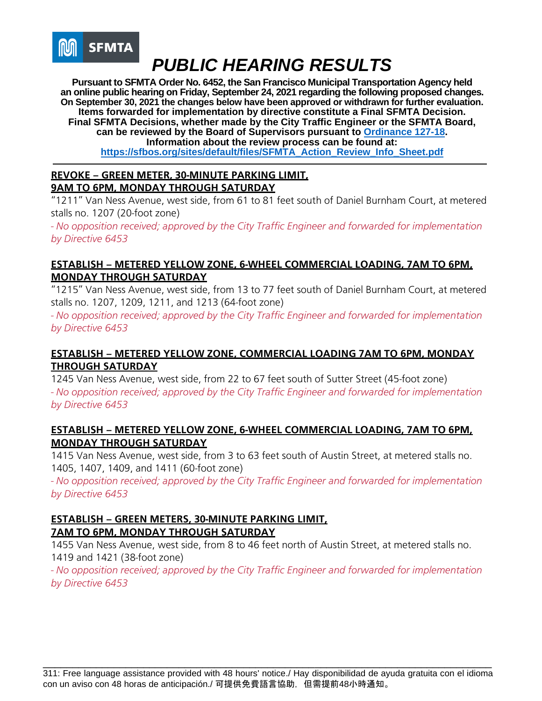

**Pursuant to SFMTA Order No. 6452, the San Francisco Municipal Transportation Agency held an online public hearing on Friday, September 24, 2021 regarding the following proposed changes. On September 30, 2021 the changes below have been approved or withdrawn for further evaluation. Items forwarded for implementation by directive constitute a Final SFMTA Decision. Final SFMTA Decisions, whether made by the City Traffic Engineer or the SFMTA Board, can be reviewed by the Board of Supervisors pursuant to [Ordinance 127-18.](https://sfbos.org/sites/default/files/o0127-18.pdf) Information about the review process can be found at: [https://sfbos.org/sites/default/files/SFMTA\\_Action\\_Review\\_Info\\_Sheet.pdf](https://sfbos.org/sites/default/files/SFMTA_Action_Review_Info_Sheet.pdf)**

## **REVOKE – GREEN METER, 30-MINUTE PARKING LIMIT, 9AM TO 6PM, MONDAY THROUGH SATURDAY**

"1211" Van Ness Avenue, west side, from 61 to 81 feet south of Daniel Burnham Court, at metered stalls no. 1207 (20-foot zone)

*- No opposition received; approved by the City Traffic Engineer and forwarded for implementation by Directive 6453*

## **ESTABLISH – METERED YELLOW ZONE, 6-WHEEL COMMERCIAL LOADING, 7AM TO 6PM, MONDAY THROUGH SATURDAY**

"1215" Van Ness Avenue, west side, from 13 to 77 feet south of Daniel Burnham Court, at metered stalls no. 1207, 1209, 1211, and 1213 (64-foot zone)

*- No opposition received; approved by the City Traffic Engineer and forwarded for implementation by Directive 6453*

## **ESTABLISH – METERED YELLOW ZONE, COMMERCIAL LOADING 7AM TO 6PM, MONDAY THROUGH SATURDAY**

1245 Van Ness Avenue, west side, from 22 to 67 feet south of Sutter Street (45-foot zone) *- No opposition received; approved by the City Traffic Engineer and forwarded for implementation by Directive 6453*

### **ESTABLISH – METERED YELLOW ZONE, 6-WHEEL COMMERCIAL LOADING, 7AM TO 6PM, MONDAY THROUGH SATURDAY**

1415 Van Ness Avenue, west side, from 3 to 63 feet south of Austin Street, at metered stalls no. 1405, 1407, 1409, and 1411 (60-foot zone)

*- No opposition received; approved by the City Traffic Engineer and forwarded for implementation by Directive 6453*

#### **ESTABLISH – GREEN METERS, 30-MINUTE PARKING LIMIT, 7AM TO 6PM, MONDAY THROUGH SATURDAY**

1455 Van Ness Avenue, west side, from 8 to 46 feet north of Austin Street, at metered stalls no. 1419 and 1421 (38-foot zone)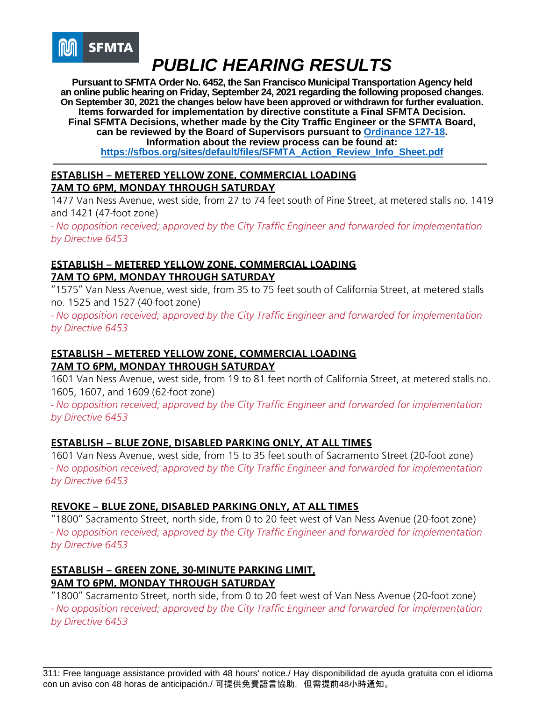

**Pursuant to SFMTA Order No. 6452, the San Francisco Municipal Transportation Agency held an online public hearing on Friday, September 24, 2021 regarding the following proposed changes. On September 30, 2021 the changes below have been approved or withdrawn for further evaluation. Items forwarded for implementation by directive constitute a Final SFMTA Decision. Final SFMTA Decisions, whether made by the City Traffic Engineer or the SFMTA Board, can be reviewed by the Board of Supervisors pursuant to [Ordinance 127-18.](https://sfbos.org/sites/default/files/o0127-18.pdf) Information about the review process can be found at: [https://sfbos.org/sites/default/files/SFMTA\\_Action\\_Review\\_Info\\_Sheet.pdf](https://sfbos.org/sites/default/files/SFMTA_Action_Review_Info_Sheet.pdf)**

## **ESTABLISH – METERED YELLOW ZONE, COMMERCIAL LOADING 7AM TO 6PM, MONDAY THROUGH SATURDAY**

1477 Van Ness Avenue, west side, from 27 to 74 feet south of Pine Street, at metered stalls no. 1419 and 1421 (47-foot zone)

*- No opposition received; approved by the City Traffic Engineer and forwarded for implementation by Directive 6453*

## **ESTABLISH – METERED YELLOW ZONE, COMMERCIAL LOADING 7AM TO 6PM, MONDAY THROUGH SATURDAY**

"1575" Van Ness Avenue, west side, from 35 to 75 feet south of California Street, at metered stalls no. 1525 and 1527 (40-foot zone)

*- No opposition received; approved by the City Traffic Engineer and forwarded for implementation by Directive 6453*

## **ESTABLISH – METERED YELLOW ZONE, COMMERCIAL LOADING 7AM TO 6PM, MONDAY THROUGH SATURDAY**

1601 Van Ness Avenue, west side, from 19 to 81 feet north of California Street, at metered stalls no. 1605, 1607, and 1609 (62-foot zone)

*- No opposition received; approved by the City Traffic Engineer and forwarded for implementation by Directive 6453*

## **ESTABLISH – BLUE ZONE, DISABLED PARKING ONLY, AT ALL TIMES**

1601 Van Ness Avenue, west side, from 15 to 35 feet south of Sacramento Street (20-foot zone) *- No opposition received; approved by the City Traffic Engineer and forwarded for implementation by Directive 6453*

## **REVOKE – BLUE ZONE, DISABLED PARKING ONLY, AT ALL TIMES**

"1800" Sacramento Street, north side, from 0 to 20 feet west of Van Ness Avenue (20-foot zone) *- No opposition received; approved by the City Traffic Engineer and forwarded for implementation by Directive 6453*

#### **ESTABLISH – GREEN ZONE, 30-MINUTE PARKING LIMIT, 9AM TO 6PM, MONDAY THROUGH SATURDAY**

"1800" Sacramento Street, north side, from 0 to 20 feet west of Van Ness Avenue (20-foot zone) *- No opposition received; approved by the City Traffic Engineer and forwarded for implementation by Directive 6453*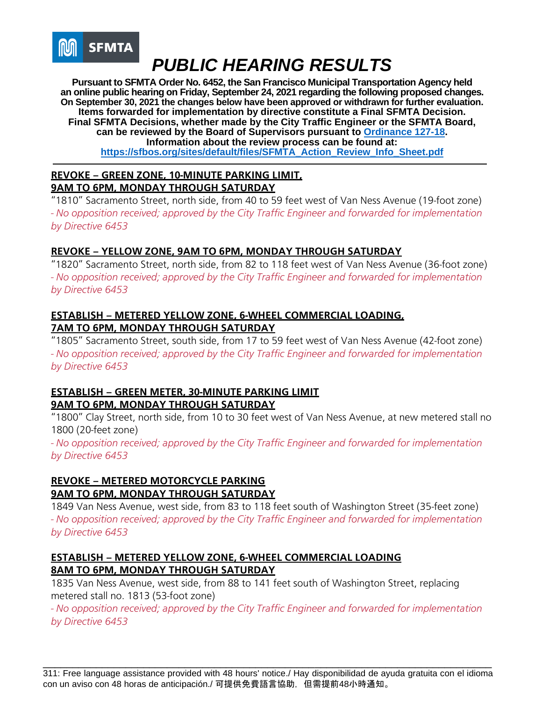

**Pursuant to SFMTA Order No. 6452, the San Francisco Municipal Transportation Agency held an online public hearing on Friday, September 24, 2021 regarding the following proposed changes. On September 30, 2021 the changes below have been approved or withdrawn for further evaluation. Items forwarded for implementation by directive constitute a Final SFMTA Decision. Final SFMTA Decisions, whether made by the City Traffic Engineer or the SFMTA Board, can be reviewed by the Board of Supervisors pursuant to [Ordinance 127-18.](https://sfbos.org/sites/default/files/o0127-18.pdf) Information about the review process can be found at: [https://sfbos.org/sites/default/files/SFMTA\\_Action\\_Review\\_Info\\_Sheet.pdf](https://sfbos.org/sites/default/files/SFMTA_Action_Review_Info_Sheet.pdf)**

## **REVOKE – GREEN ZONE, 10-MINUTE PARKING LIMIT, 9AM TO 6PM, MONDAY THROUGH SATURDAY**

"1810" Sacramento Street, north side, from 40 to 59 feet west of Van Ness Avenue (19-foot zone) *- No opposition received; approved by the City Traffic Engineer and forwarded for implementation by Directive 6453*

## **REVOKE – YELLOW ZONE, 9AM TO 6PM, MONDAY THROUGH SATURDAY**

"1820" Sacramento Street, north side, from 82 to 118 feet west of Van Ness Avenue (36-foot zone) *- No opposition received; approved by the City Traffic Engineer and forwarded for implementation by Directive 6453*

## **ESTABLISH – METERED YELLOW ZONE, 6-WHEEL COMMERCIAL LOADING, 7AM TO 6PM, MONDAY THROUGH SATURDAY**

"1805" Sacramento Street, south side, from 17 to 59 feet west of Van Ness Avenue (42-foot zone) *- No opposition received; approved by the City Traffic Engineer and forwarded for implementation by Directive 6453*

### **ESTABLISH – GREEN METER, 30-MINUTE PARKING LIMIT 9AM TO 6PM, MONDAY THROUGH SATURDAY**

"1800" Clay Street, north side, from 10 to 30 feet west of Van Ness Avenue, at new metered stall no 1800 (20-feet zone)

*- No opposition received; approved by the City Traffic Engineer and forwarded for implementation by Directive 6453*

## **REVOKE – METERED MOTORCYCLE PARKING 9AM TO 6PM, MONDAY THROUGH SATURDAY**

1849 Van Ness Avenue, west side, from 83 to 118 feet south of Washington Street (35-feet zone) *- No opposition received; approved by the City Traffic Engineer and forwarded for implementation by Directive 6453*

### **ESTABLISH – METERED YELLOW ZONE, 6-WHEEL COMMERCIAL LOADING 8AM TO 6PM, MONDAY THROUGH SATURDAY**

1835 Van Ness Avenue, west side, from 88 to 141 feet south of Washington Street, replacing metered stall no. 1813 (53-foot zone)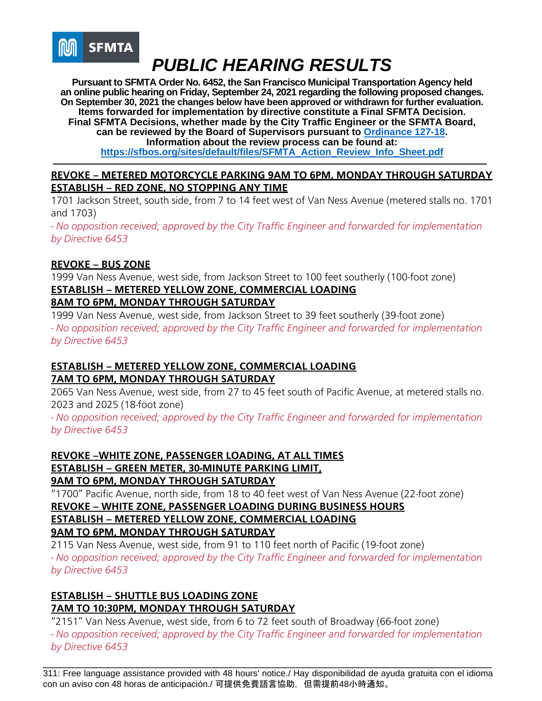

**Pursuant to SFMTA Order No. 6452, the San Francisco Municipal Transportation Agency held an online public hearing on Friday, September 24, 2021 regarding the following proposed changes. On September 30, 2021 the changes below have been approved or withdrawn for further evaluation. Items forwarded for implementation by directive constitute a Final SFMTA Decision. Final SFMTA Decisions, whether made by the City Traffic Engineer or the SFMTA Board, can be reviewed by the Board of Supervisors pursuant to [Ordinance 127-18.](https://sfbos.org/sites/default/files/o0127-18.pdf) Information about the review process can be found at: [https://sfbos.org/sites/default/files/SFMTA\\_Action\\_Review\\_Info\\_Sheet.pdf](https://sfbos.org/sites/default/files/SFMTA_Action_Review_Info_Sheet.pdf)**

### **REVOKE – METERED MOTORCYCLE PARKING 9AM TO 6PM, MONDAY THROUGH SATURDAY ESTABLISH – RED ZONE, NO STOPPING ANY TIME**

1701 Jackson Street, south side, from 7 to 14 feet west of Van Ness Avenue (metered stalls no. 1701 and 1703)

*- No opposition received; approved by the City Traffic Engineer and forwarded for implementation by Directive 6453*

## **REVOKE – BUS ZONE**

1999 Van Ness Avenue, west side, from Jackson Street to 100 feet southerly (100-foot zone) **ESTABLISH – METERED YELLOW ZONE, COMMERCIAL LOADING** 

## **8AM TO 6PM, MONDAY THROUGH SATURDAY**

1999 Van Ness Avenue, west side, from Jackson Street to 39 feet southerly (39-foot zone) *- No opposition received; approved by the City Traffic Engineer and forwarded for implementation by Directive 6453*

## **ESTABLISH – METERED YELLOW ZONE, COMMERCIAL LOADING 7AM TO 6PM, MONDAY THROUGH SATURDAY**

2065 Van Ness Avenue, west side, from 27 to 45 feet south of Pacific Avenue, at metered stalls no. 2023 and 2025 (18-foot zone)

*- No opposition received; approved by the City Traffic Engineer and forwarded for implementation by Directive 6453*

**REVOKE –WHITE ZONE, PASSENGER LOADING, AT ALL TIMES ESTABLISH – GREEN METER, 30-MINUTE PARKING LIMIT, 9AM TO 6PM, MONDAY THROUGH SATURDAY**

"1700" Pacific Avenue, north side, from 18 to 40 feet west of Van Ness Avenue (22-foot zone)

## **REVOKE – WHITE ZONE, PASSENGER LOADING DURING BUSINESS HOURS**

**ESTABLISH – METERED YELLOW ZONE, COMMERCIAL LOADING 9AM TO 6PM, MONDAY THROUGH SATURDAY** 

2115 Van Ness Avenue, west side, from 91 to 110 feet north of Pacific (19-foot zone) *- No opposition received; approved by the City Traffic Engineer and forwarded for implementation by Directive 6453*

#### **ESTABLISH – SHUTTLE BUS LOADING ZONE 7AM TO 10:30PM, MONDAY THROUGH SATURDAY**

"2151" Van Ness Avenue, west side, from 6 to 72 feet south of Broadway (66-foot zone)

*- No opposition received; approved by the City Traffic Engineer and forwarded for implementation by Directive 6453*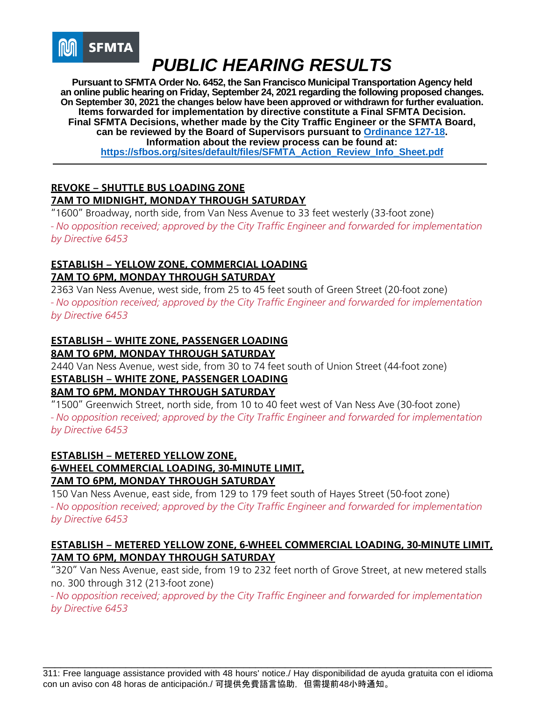

**Pursuant to SFMTA Order No. 6452, the San Francisco Municipal Transportation Agency held an online public hearing on Friday, September 24, 2021 regarding the following proposed changes. On September 30, 2021 the changes below have been approved or withdrawn for further evaluation. Items forwarded for implementation by directive constitute a Final SFMTA Decision. Final SFMTA Decisions, whether made by the City Traffic Engineer or the SFMTA Board, can be reviewed by the Board of Supervisors pursuant to [Ordinance 127-18.](https://sfbos.org/sites/default/files/o0127-18.pdf) Information about the review process can be found at: [https://sfbos.org/sites/default/files/SFMTA\\_Action\\_Review\\_Info\\_Sheet.pdf](https://sfbos.org/sites/default/files/SFMTA_Action_Review_Info_Sheet.pdf)**

## **REVOKE – SHUTTLE BUS LOADING ZONE 7AM TO MIDNIGHT, MONDAY THROUGH SATURDAY**

"1600" Broadway, north side, from Van Ness Avenue to 33 feet westerly (33-foot zone) *- No opposition received; approved by the City Traffic Engineer and forwarded for implementation by Directive 6453*

## **ESTABLISH – YELLOW ZONE, COMMERCIAL LOADING 7AM TO 6PM, MONDAY THROUGH SATURDAY**

2363 Van Ness Avenue, west side, from 25 to 45 feet south of Green Street (20-foot zone) *- No opposition received; approved by the City Traffic Engineer and forwarded for implementation by Directive 6453*

## **ESTABLISH – WHITE ZONE, PASSENGER LOADING 8AM TO 6PM, MONDAY THROUGH SATURDAY**

2440 Van Ness Avenue, west side, from 30 to 74 feet south of Union Street (44-foot zone) **ESTABLISH – WHITE ZONE, PASSENGER LOADING** 

## **8AM TO 6PM, MONDAY THROUGH SATURDAY**

"1500" Greenwich Street, north side, from 10 to 40 feet west of Van Ness Ave (30-foot zone) *- No opposition received; approved by the City Traffic Engineer and forwarded for implementation by Directive 6453*

## **ESTABLISH – METERED YELLOW ZONE, 6-WHEEL COMMERCIAL LOADING, 30-MINUTE LIMIT, 7AM TO 6PM, MONDAY THROUGH SATURDAY**

150 Van Ness Avenue, east side, from 129 to 179 feet south of Hayes Street (50-foot zone) *- No opposition received; approved by the City Traffic Engineer and forwarded for implementation by Directive 6453*

## **ESTABLISH – METERED YELLOW ZONE, 6-WHEEL COMMERCIAL LOADING, 30-MINUTE LIMIT, 7AM TO 6PM, MONDAY THROUGH SATURDAY**

"320" Van Ness Avenue, east side, from 19 to 232 feet north of Grove Street, at new metered stalls no. 300 through 312 (213-foot zone)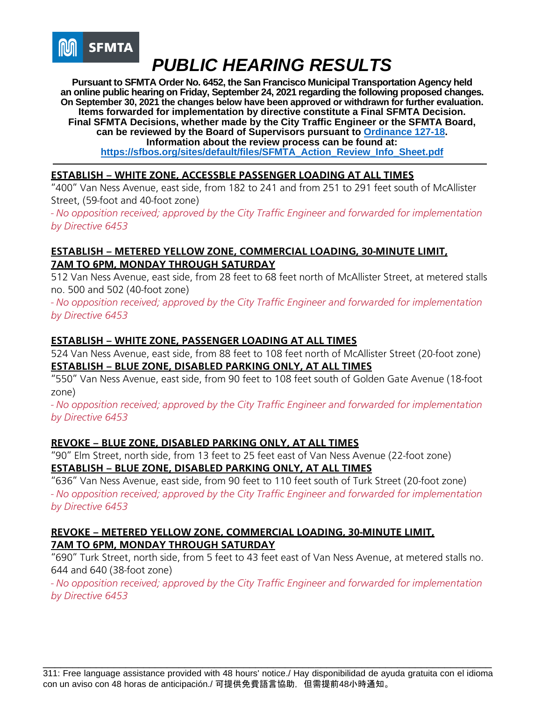

**Pursuant to SFMTA Order No. 6452, the San Francisco Municipal Transportation Agency held an online public hearing on Friday, September 24, 2021 regarding the following proposed changes. On September 30, 2021 the changes below have been approved or withdrawn for further evaluation. Items forwarded for implementation by directive constitute a Final SFMTA Decision. Final SFMTA Decisions, whether made by the City Traffic Engineer or the SFMTA Board, can be reviewed by the Board of Supervisors pursuant to [Ordinance 127-18.](https://sfbos.org/sites/default/files/o0127-18.pdf) Information about the review process can be found at: [https://sfbos.org/sites/default/files/SFMTA\\_Action\\_Review\\_Info\\_Sheet.pdf](https://sfbos.org/sites/default/files/SFMTA_Action_Review_Info_Sheet.pdf)**

## **ESTABLISH – WHITE ZONE, ACCESSBLE PASSENGER LOADING AT ALL TIMES**

"400" Van Ness Avenue, east side, from 182 to 241 and from 251 to 291 feet south of McAllister Street, (59-foot and 40-foot zone)

*- No opposition received; approved by the City Traffic Engineer and forwarded for implementation by Directive 6453*

### **ESTABLISH – METERED YELLOW ZONE, COMMERCIAL LOADING, 30-MINUTE LIMIT, 7AM TO 6PM, MONDAY THROUGH SATURDAY**

512 Van Ness Avenue, east side, from 28 feet to 68 feet north of McAllister Street, at metered stalls no. 500 and 502 (40-foot zone)

*- No opposition received; approved by the City Traffic Engineer and forwarded for implementation by Directive 6453*

### **ESTABLISH – WHITE ZONE, PASSENGER LOADING AT ALL TIMES**

524 Van Ness Avenue, east side, from 88 feet to 108 feet north of McAllister Street (20-foot zone) **ESTABLISH – BLUE ZONE, DISABLED PARKING ONLY, AT ALL TIMES**

"550" Van Ness Avenue, east side, from 90 feet to 108 feet south of Golden Gate Avenue (18-foot zone)

*- No opposition received; approved by the City Traffic Engineer and forwarded for implementation by Directive 6453*

## **REVOKE – BLUE ZONE, DISABLED PARKING ONLY, AT ALL TIMES**

"90" Elm Street, north side, from 13 feet to 25 feet east of Van Ness Avenue (22-foot zone) **ESTABLISH – BLUE ZONE, DISABLED PARKING ONLY, AT ALL TIMES**

"636" Van Ness Avenue, east side, from 90 feet to 110 feet south of Turk Street (20-foot zone) *- No opposition received; approved by the City Traffic Engineer and forwarded for implementation by Directive 6453*

### **REVOKE – METERED YELLOW ZONE, COMMERCIAL LOADING, 30-MINUTE LIMIT, 7AM TO 6PM, MONDAY THROUGH SATURDAY**

"690" Turk Street, north side, from 5 feet to 43 feet east of Van Ness Avenue, at metered stalls no. 644 and 640 (38-foot zone)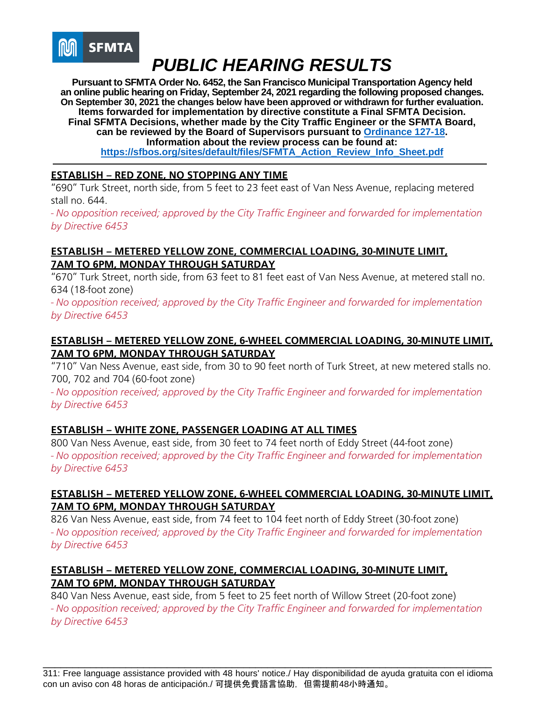

**Pursuant to SFMTA Order No. 6452, the San Francisco Municipal Transportation Agency held an online public hearing on Friday, September 24, 2021 regarding the following proposed changes. On September 30, 2021 the changes below have been approved or withdrawn for further evaluation. Items forwarded for implementation by directive constitute a Final SFMTA Decision. Final SFMTA Decisions, whether made by the City Traffic Engineer or the SFMTA Board, can be reviewed by the Board of Supervisors pursuant to [Ordinance 127-18.](https://sfbos.org/sites/default/files/o0127-18.pdf) Information about the review process can be found at: [https://sfbos.org/sites/default/files/SFMTA\\_Action\\_Review\\_Info\\_Sheet.pdf](https://sfbos.org/sites/default/files/SFMTA_Action_Review_Info_Sheet.pdf)**

## **ESTABLISH – RED ZONE, NO STOPPING ANY TIME**

"690" Turk Street, north side, from 5 feet to 23 feet east of Van Ness Avenue, replacing metered stall no. 644.

*- No opposition received; approved by the City Traffic Engineer and forwarded for implementation by Directive 6453*

### **ESTABLISH – METERED YELLOW ZONE, COMMERCIAL LOADING, 30-MINUTE LIMIT, 7AM TO 6PM, MONDAY THROUGH SATURDAY**

"670" Turk Street, north side, from 63 feet to 81 feet east of Van Ness Avenue, at metered stall no. 634 (18-foot zone)

*- No opposition received; approved by the City Traffic Engineer and forwarded for implementation by Directive 6453*

## **ESTABLISH – METERED YELLOW ZONE, 6-WHEEL COMMERCIAL LOADING, 30-MINUTE LIMIT, 7AM TO 6PM, MONDAY THROUGH SATURDAY**

"710" Van Ness Avenue, east side, from 30 to 90 feet north of Turk Street, at new metered stalls no. 700, 702 and 704 (60-foot zone)

*- No opposition received; approved by the City Traffic Engineer and forwarded for implementation by Directive 6453*

## **ESTABLISH – WHITE ZONE, PASSENGER LOADING AT ALL TIMES**

800 Van Ness Avenue, east side, from 30 feet to 74 feet north of Eddy Street (44-foot zone) *- No opposition received; approved by the City Traffic Engineer and forwarded for implementation by Directive 6453*

## **ESTABLISH – METERED YELLOW ZONE, 6-WHEEL COMMERCIAL LOADING, 30-MINUTE LIMIT, 7AM TO 6PM, MONDAY THROUGH SATURDAY**

826 Van Ness Avenue, east side, from 74 feet to 104 feet north of Eddy Street (30-foot zone) *- No opposition received; approved by the City Traffic Engineer and forwarded for implementation by Directive 6453*

## **ESTABLISH – METERED YELLOW ZONE, COMMERCIAL LOADING, 30-MINUTE LIMIT, 7AM TO 6PM, MONDAY THROUGH SATURDAY**

840 Van Ness Avenue, east side, from 5 feet to 25 feet north of Willow Street (20-foot zone) *- No opposition received; approved by the City Traffic Engineer and forwarded for implementation by Directive 6453*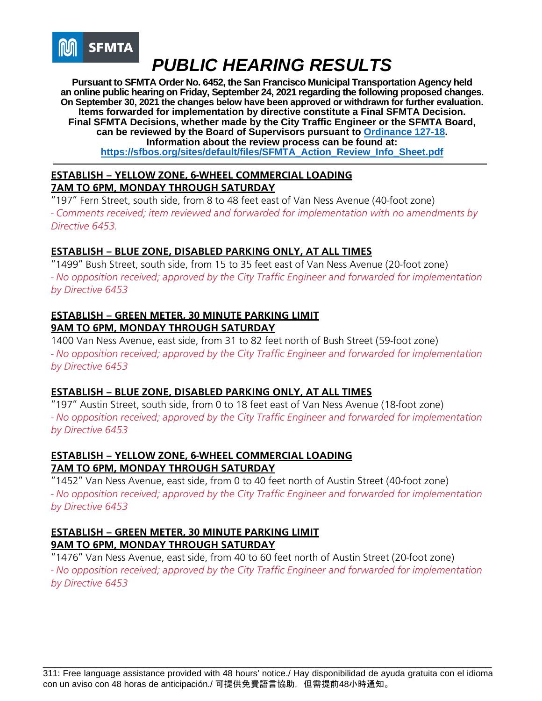

**Pursuant to SFMTA Order No. 6452, the San Francisco Municipal Transportation Agency held an online public hearing on Friday, September 24, 2021 regarding the following proposed changes. On September 30, 2021 the changes below have been approved or withdrawn for further evaluation. Items forwarded for implementation by directive constitute a Final SFMTA Decision. Final SFMTA Decisions, whether made by the City Traffic Engineer or the SFMTA Board, can be reviewed by the Board of Supervisors pursuant to [Ordinance 127-18.](https://sfbos.org/sites/default/files/o0127-18.pdf) Information about the review process can be found at: [https://sfbos.org/sites/default/files/SFMTA\\_Action\\_Review\\_Info\\_Sheet.pdf](https://sfbos.org/sites/default/files/SFMTA_Action_Review_Info_Sheet.pdf)**

### **ESTABLISH – YELLOW ZONE, 6-WHEEL COMMERCIAL LOADING 7AM TO 6PM, MONDAY THROUGH SATURDAY**

"197" Fern Street, south side, from 8 to 48 feet east of Van Ness Avenue (40-foot zone) *- Comments received; item reviewed and forwarded for implementation with no amendments by Directive 6453.*

## **ESTABLISH – BLUE ZONE, DISABLED PARKING ONLY, AT ALL TIMES**

"1499" Bush Street, south side, from 15 to 35 feet east of Van Ness Avenue (20-foot zone) *- No opposition received; approved by the City Traffic Engineer and forwarded for implementation by Directive 6453*

## **ESTABLISH – GREEN METER, 30 MINUTE PARKING LIMIT 9AM TO 6PM, MONDAY THROUGH SATURDAY**

1400 Van Ness Avenue, east side, from 31 to 82 feet north of Bush Street (59-foot zone) *- No opposition received; approved by the City Traffic Engineer and forwarded for implementation by Directive 6453*

## **ESTABLISH – BLUE ZONE, DISABLED PARKING ONLY, AT ALL TIMES**

"197" Austin Street, south side, from 0 to 18 feet east of Van Ness Avenue (18-foot zone) *- No opposition received; approved by the City Traffic Engineer and forwarded for implementation by Directive 6453*

## **ESTABLISH – YELLOW ZONE, 6-WHEEL COMMERCIAL LOADING 7AM TO 6PM, MONDAY THROUGH SATURDAY**

"1452" Van Ness Avenue, east side, from 0 to 40 feet north of Austin Street (40-foot zone) *- No opposition received; approved by the City Traffic Engineer and forwarded for implementation by Directive 6453*

## **ESTABLISH – GREEN METER, 30 MINUTE PARKING LIMIT 9AM TO 6PM, MONDAY THROUGH SATURDAY**

"1476" Van Ness Avenue, east side, from 40 to 60 feet north of Austin Street (20-foot zone) *- No opposition received; approved by the City Traffic Engineer and forwarded for implementation by Directive 6453*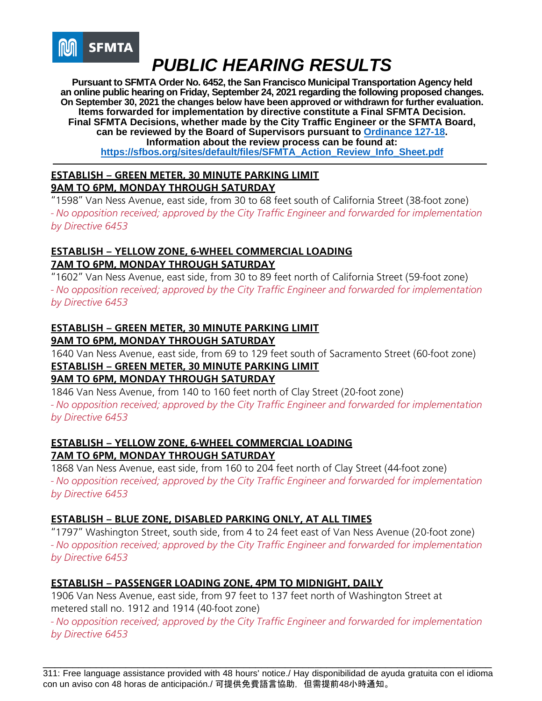

**Pursuant to SFMTA Order No. 6452, the San Francisco Municipal Transportation Agency held an online public hearing on Friday, September 24, 2021 regarding the following proposed changes. On September 30, 2021 the changes below have been approved or withdrawn for further evaluation. Items forwarded for implementation by directive constitute a Final SFMTA Decision. Final SFMTA Decisions, whether made by the City Traffic Engineer or the SFMTA Board, can be reviewed by the Board of Supervisors pursuant to [Ordinance 127-18.](https://sfbos.org/sites/default/files/o0127-18.pdf) Information about the review process can be found at: [https://sfbos.org/sites/default/files/SFMTA\\_Action\\_Review\\_Info\\_Sheet.pdf](https://sfbos.org/sites/default/files/SFMTA_Action_Review_Info_Sheet.pdf)**

## **ESTABLISH – GREEN METER, 30 MINUTE PARKING LIMIT 9AM TO 6PM, MONDAY THROUGH SATURDAY**

"1598" Van Ness Avenue, east side, from 30 to 68 feet south of California Street (38-foot zone) *- No opposition received; approved by the City Traffic Engineer and forwarded for implementation by Directive 6453*

## **ESTABLISH – YELLOW ZONE, 6-WHEEL COMMERCIAL LOADING 7AM TO 6PM, MONDAY THROUGH SATURDAY**

"1602" Van Ness Avenue, east side, from 30 to 89 feet north of California Street (59-foot zone) *- No opposition received; approved by the City Traffic Engineer and forwarded for implementation by Directive 6453*

## **ESTABLISH – GREEN METER, 30 MINUTE PARKING LIMIT 9AM TO 6PM, MONDAY THROUGH SATURDAY**

1640 Van Ness Avenue, east side, from 69 to 129 feet south of Sacramento Street (60-foot zone) **ESTABLISH – GREEN METER, 30 MINUTE PARKING LIMIT**

## **9AM TO 6PM, MONDAY THROUGH SATURDAY**

1846 Van Ness Avenue, from 140 to 160 feet north of Clay Street (20-foot zone) *- No opposition received; approved by the City Traffic Engineer and forwarded for implementation by Directive 6453*

## **ESTABLISH – YELLOW ZONE, 6-WHEEL COMMERCIAL LOADING 7AM TO 6PM, MONDAY THROUGH SATURDAY**

1868 Van Ness Avenue, east side, from 160 to 204 feet north of Clay Street (44-foot zone) *- No opposition received; approved by the City Traffic Engineer and forwarded for implementation by Directive 6453*

## **ESTABLISH – BLUE ZONE, DISABLED PARKING ONLY, AT ALL TIMES**

"1797" Washington Street, south side, from 4 to 24 feet east of Van Ness Avenue (20-foot zone) *- No opposition received; approved by the City Traffic Engineer and forwarded for implementation by Directive 6453*

## **ESTABLISH – PASSENGER LOADING ZONE, 4PM TO MIDNIGHT, DAILY**

1906 Van Ness Avenue, east side, from 97 feet to 137 feet north of Washington Street at metered stall no. 1912 and 1914 (40-foot zone)

*- No opposition received; approved by the City Traffic Engineer and forwarded for implementation by Directive 6453*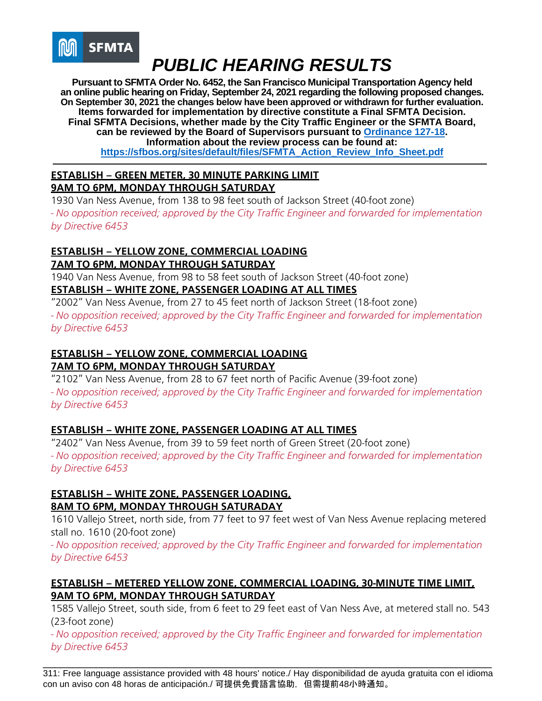

**Pursuant to SFMTA Order No. 6452, the San Francisco Municipal Transportation Agency held an online public hearing on Friday, September 24, 2021 regarding the following proposed changes. On September 30, 2021 the changes below have been approved or withdrawn for further evaluation. Items forwarded for implementation by directive constitute a Final SFMTA Decision. Final SFMTA Decisions, whether made by the City Traffic Engineer or the SFMTA Board, can be reviewed by the Board of Supervisors pursuant to [Ordinance 127-18.](https://sfbos.org/sites/default/files/o0127-18.pdf) Information about the review process can be found at: [https://sfbos.org/sites/default/files/SFMTA\\_Action\\_Review\\_Info\\_Sheet.pdf](https://sfbos.org/sites/default/files/SFMTA_Action_Review_Info_Sheet.pdf)**

## **ESTABLISH – GREEN METER, 30 MINUTE PARKING LIMIT 9AM TO 6PM, MONDAY THROUGH SATURDAY**

1930 Van Ness Avenue, from 138 to 98 feet south of Jackson Street (40-foot zone) *- No opposition received; approved by the City Traffic Engineer and forwarded for implementation by Directive 6453*

#### **ESTABLISH – YELLOW ZONE, COMMERCIAL LOADING 7AM TO 6PM, MONDAY THROUGH SATURDAY**

1940 Van Ness Avenue, from 98 to 58 feet south of Jackson Street (40-foot zone) **ESTABLISH – WHITE ZONE, PASSENGER LOADING AT ALL TIMES**

"2002" Van Ness Avenue, from 27 to 45 feet north of Jackson Street (18-foot zone) *- No opposition received; approved by the City Traffic Engineer and forwarded for implementation by Directive 6453*

#### **ESTABLISH – YELLOW ZONE, COMMERCIAL LOADING 7AM TO 6PM, MONDAY THROUGH SATURDAY**

"2102" Van Ness Avenue, from 28 to 67 feet north of Pacific Avenue (39-foot zone) *- No opposition received; approved by the City Traffic Engineer and forwarded for implementation by Directive 6453*

## **ESTABLISH – WHITE ZONE, PASSENGER LOADING AT ALL TIMES**

"2402" Van Ness Avenue, from 39 to 59 feet north of Green Street (20-foot zone) *- No opposition received; approved by the City Traffic Engineer and forwarded for implementation by Directive 6453*

## **ESTABLISH – WHITE ZONE, PASSENGER LOADING, 8AM TO 6PM, MONDAY THROUGH SATURADAY**

1610 Vallejo Street, north side, from 77 feet to 97 feet west of Van Ness Avenue replacing metered stall no. 1610 (20-foot zone)

*- No opposition received; approved by the City Traffic Engineer and forwarded for implementation by Directive 6453*

## **ESTABLISH – METERED YELLOW ZONE, COMMERCIAL LOADING, 30-MINUTE TIME LIMIT, 9AM TO 6PM, MONDAY THROUGH SATURDAY**

1585 Vallejo Street, south side, from 6 feet to 29 feet east of Van Ness Ave, at metered stall no. 543 (23-foot zone)

*- No opposition received; approved by the City Traffic Engineer and forwarded for implementation by Directive 6453*